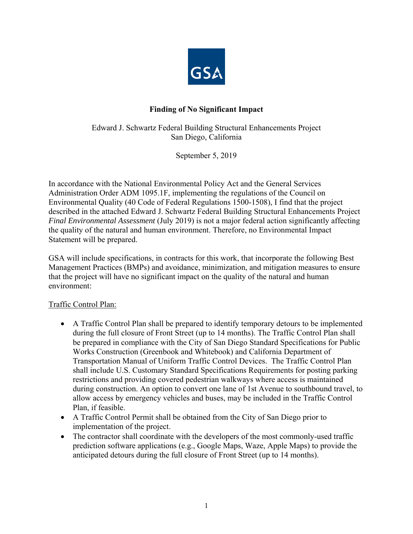

# **Finding of No Significant Impact**

Edward J. Schwartz Federal Building Structural Enhancements Project San Diego, California

September 5, 2019

In accordance with the National Environmental Policy Act and the General Services Administration Order ADM 1095.1F, implementing the regulations of the Council on Environmental Quality (40 Code of Federal Regulations 1500-1508), I find that the project described in the attached Edward J. Schwartz Federal Building Structural Enhancements Project *Final Environmental Assessment* (July 2019) is not a major federal action significantly affecting the quality of the natural and human environment. Therefore, no Environmental Impact Statement will be prepared.

GSA will include specifications, in contracts for this work, that incorporate the following Best Management Practices (BMPs) and avoidance, minimization, and mitigation measures to ensure that the project will have no significant impact on the quality of the natural and human environment:

### Traffic Control Plan:

- A Traffic Control Plan shall be prepared to identify temporary detours to be implemented during the full closure of Front Street (up to 14 months). The Traffic Control Plan shall be prepared in compliance with the City of San Diego Standard Specifications for Public Works Construction (Greenbook and Whitebook) and California Department of Transportation Manual of Uniform Traffic Control Devices. The Traffic Control Plan shall include U.S. Customary Standard Specifications Requirements for posting parking restrictions and providing covered pedestrian walkways where access is maintained during construction. An option to convert one lane of 1st Avenue to southbound travel, to allow access by emergency vehicles and buses, may be included in the Traffic Control Plan, if feasible.
- A Traffic Control Permit shall be obtained from the City of San Diego prior to implementation of the project.
- The contractor shall coordinate with the developers of the most commonly-used traffic prediction software applications (e.g., Google Maps, Waze, Apple Maps) to provide the anticipated detours during the full closure of Front Street (up to 14 months).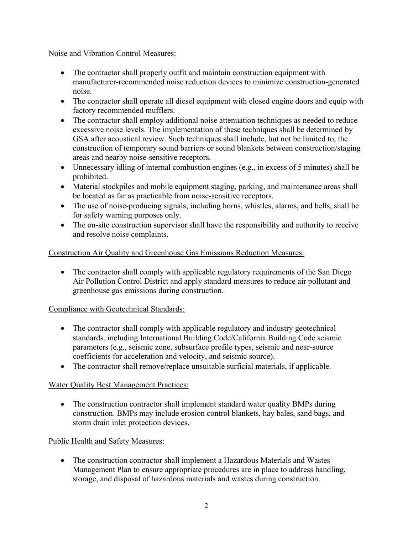### Noise and Vibration Control Measures:

- The contractor shall properly outfit and maintain construction equipment with manufacturer-recommended noise reduction devices to minimize construction-generated noise.
- The contractor shall operate all diesel equipment with closed engine doors and equip with factory recommended mufflers.
- The contractor shall employ additional noise attenuation techniques as needed to reduce excessive noise levels. The implementation of these techniques shall be determined by GSA after acoustical review. Such techniques shall include, but not be limited to, the construction of temporary sound barriers or sound blankets between construction/staging areas and nearby noise-sensitive receptors.
- Unnecessary idling of internal combustion engines (e.g., in excess of 5 minutes) shall be prohibited.
- Material stockpiles and mobile equipment staging, parking, and maintenance areas shall be located as far as practicable from noise-sensitive receptors.
- The use of noise-producing signals, including horns, whistles, alarms, and bells, shall be for safety warning purposes only.
- The on-site construction supervisor shall have the responsibility and authority to receive and resolve noise complaints.

## Construction Air Quality and Greenhouse Gas Emissions Reduction Measures:

• The contractor shall comply with applicable regulatory requirements of the San Diego Air Pollution Control District and apply standard measures to reduce air pollutant and greenhouse gas emissions during construction.

### Compliance with Geotechnical Standards:

- The contractor shall comply with applicable regulatory and industry geotechnical standards, including International Building Code/California Building Code seismic parameters (e.g., seismic zone, subsurface profile types, seismic and near-source coefficients for acceleration and velocity, and seismic source).
- The contractor shall remove/replace unsuitable surficial materials, if applicable.

# Water Quality Best Management Practices:

• The construction contractor shall implement standard water quality BMPs during construction. BMPs may include erosion control blankets, hay bales, sand bags, and storm drain inlet protection devices.

# Public Health and Safety Measures:

 The construction contractor shall implement a Hazardous Materials and Wastes Management Plan to ensure appropriate procedures are in place to address handling, storage, and disposal of hazardous materials and wastes during construction.